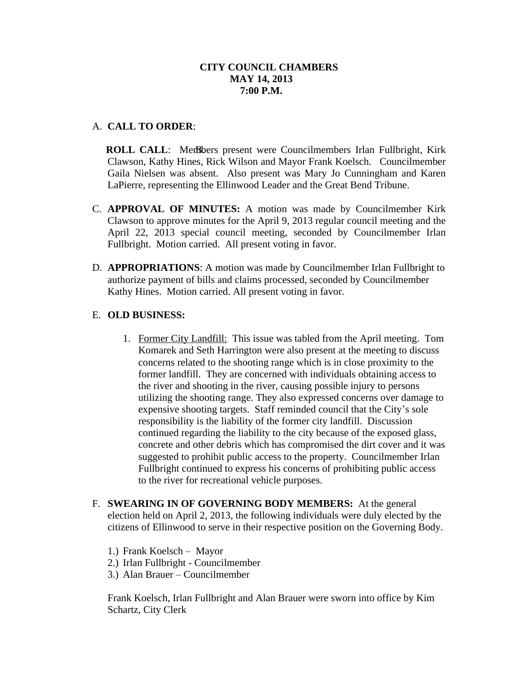### A. **CALL TO ORDER**:

**ROLL CALL:** Members present were Councilmembers Irlan Fullbright, Kirk Clawson, Kathy Hines, Rick Wilson and Mayor Frank Koelsch. Councilmember Gaila Nielsen was absent. Also present was Mary Jo Cunningham and Karen LaPierre, representing the Ellinwood Leader and the Great Bend Tribune.

- C. **APPROVAL OF MINUTES:** A motion was made by Councilmember Kirk Clawson to approve minutes for the April 9, 2013 regular council meeting and the April 22, 2013 special council meeting, seconded by Councilmember Irlan Fullbright. Motion carried. All present voting in favor.
- D. **APPROPRIATIONS**: A motion was made by Councilmember Irlan Fullbright to authorize payment of bills and claims processed, seconded by Councilmember Kathy Hines. Motion carried. All present voting in favor.

# E. **OLD BUSINESS:**

- 1. Former City Landfill: This issue was tabled from the April meeting. Tom Komarek and Seth Harrington were also present at the meeting to discuss concerns related to the shooting range which is in close proximity to the former landfill. They are concerned with individuals obtaining access to the river and shooting in the river, causing possible injury to persons utilizing the shooting range. They also expressed concerns over damage to expensive shooting targets. Staff reminded council that the City's sole responsibility is the liability of the former city landfill. Discussion continued regarding the liability to the city because of the exposed glass, concrete and other debris which has compromised the dirt cover and it was suggested to prohibit public access to the property. Councilmember Irlan Fullbright continued to express his concerns of prohibiting public access to the river for recreational vehicle purposes.
- F. **SWEARING IN OF GOVERNING BODY MEMBERS:** At the general election held on April 2, 2013, the following individuals were duly elected by the citizens of Ellinwood to serve in their respective position on the Governing Body.
	- 1.) Frank Koelsch Mayor
	- 2.) Irlan Fullbright Councilmember
	- 3.) Alan Brauer Councilmember

Frank Koelsch, Irlan Fullbright and Alan Brauer were sworn into office by Kim Schartz, City Clerk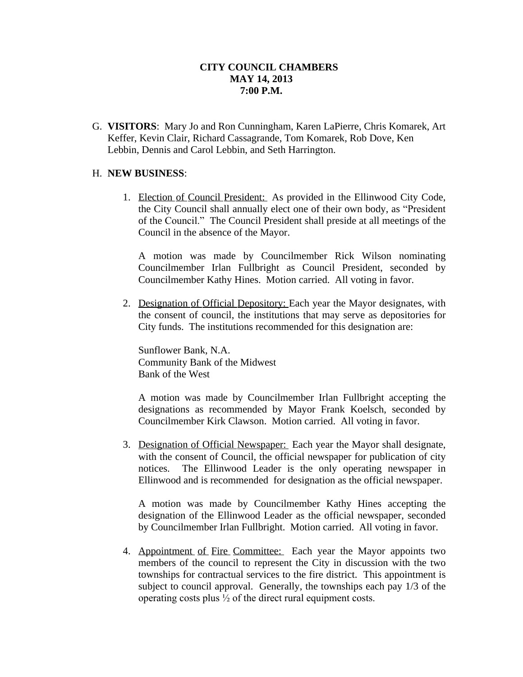G. **VISITORS**: Mary Jo and Ron Cunningham, Karen LaPierre, Chris Komarek, Art Keffer, Kevin Clair, Richard Cassagrande, Tom Komarek, Rob Dove, Ken Lebbin, Dennis and Carol Lebbin, and Seth Harrington.

#### H. **NEW BUSINESS**:

1. Election of Council President: As provided in the Ellinwood City Code, the City Council shall annually elect one of their own body, as "President of the Council." The Council President shall preside at all meetings of the Council in the absence of the Mayor.

A motion was made by Councilmember Rick Wilson nominating Councilmember Irlan Fullbright as Council President, seconded by Councilmember Kathy Hines. Motion carried. All voting in favor.

2. Designation of Official Depository: Each year the Mayor designates, with the consent of council, the institutions that may serve as depositories for City funds. The institutions recommended for this designation are:

Sunflower Bank, N.A. Community Bank of the Midwest Bank of the West

A motion was made by Councilmember Irlan Fullbright accepting the designations as recommended by Mayor Frank Koelsch, seconded by Councilmember Kirk Clawson. Motion carried. All voting in favor.

3. Designation of Official Newspaper: Each year the Mayor shall designate, with the consent of Council, the official newspaper for publication of city notices. The Ellinwood Leader is the only operating newspaper in Ellinwood and is recommended for designation as the official newspaper.

A motion was made by Councilmember Kathy Hines accepting the designation of the Ellinwood Leader as the official newspaper, seconded by Councilmember Irlan Fullbright. Motion carried. All voting in favor.

4. Appointment of Fire Committee: Each year the Mayor appoints two members of the council to represent the City in discussion with the two townships for contractual services to the fire district. This appointment is subject to council approval. Generally, the townships each pay 1/3 of the operating costs plus  $\frac{1}{2}$  of the direct rural equipment costs.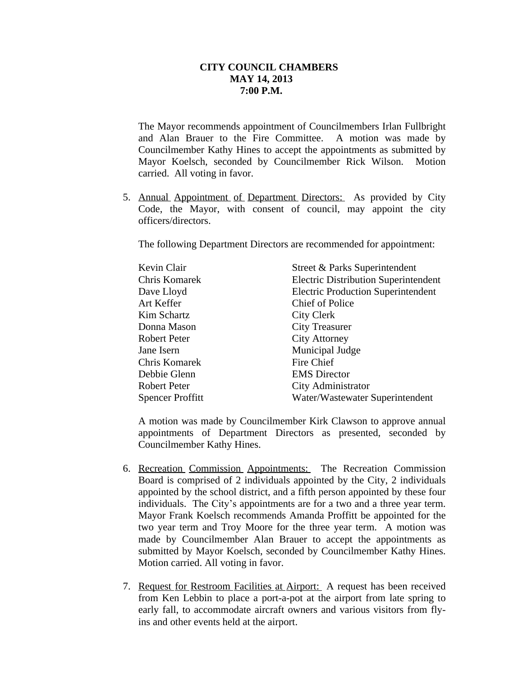The Mayor recommends appointment of Councilmembers Irlan Fullbright and Alan Brauer to the Fire Committee. A motion was made by Councilmember Kathy Hines to accept the appointments as submitted by Mayor Koelsch, seconded by Councilmember Rick Wilson. Motion carried. All voting in favor.

5. Annual Appointment of Department Directors: As provided by City Code, the Mayor, with consent of council, may appoint the city officers/directors.

The following Department Directors are recommended for appointment:

| Kevin Clair             | Street & Parks Superintendent               |
|-------------------------|---------------------------------------------|
| Chris Komarek           | <b>Electric Distribution Superintendent</b> |
| Dave Lloyd              | <b>Electric Production Superintendent</b>   |
| Art Keffer              | Chief of Police                             |
| Kim Schartz             | City Clerk                                  |
| Donna Mason             | <b>City Treasurer</b>                       |
| Robert Peter            | <b>City Attorney</b>                        |
| Jane Isern              | Municipal Judge                             |
| Chris Komarek           | Fire Chief                                  |
| Debbie Glenn            | <b>EMS</b> Director                         |
| Robert Peter            | City Administrator                          |
| <b>Spencer Proffitt</b> | Water/Wastewater Superintendent             |

A motion was made by Councilmember Kirk Clawson to approve annual appointments of Department Directors as presented, seconded by Councilmember Kathy Hines.

- 6. Recreation Commission Appointments: The Recreation Commission Board is comprised of 2 individuals appointed by the City, 2 individuals appointed by the school district, and a fifth person appointed by these four individuals. The City's appointments are for a two and a three year term. Mayor Frank Koelsch recommends Amanda Proffitt be appointed for the two year term and Troy Moore for the three year term. A motion was made by Councilmember Alan Brauer to accept the appointments as submitted by Mayor Koelsch, seconded by Councilmember Kathy Hines. Motion carried. All voting in favor.
- 7. Request for Restroom Facilities at Airport: A request has been received from Ken Lebbin to place a port-a-pot at the airport from late spring to early fall, to accommodate aircraft owners and various visitors from flyins and other events held at the airport.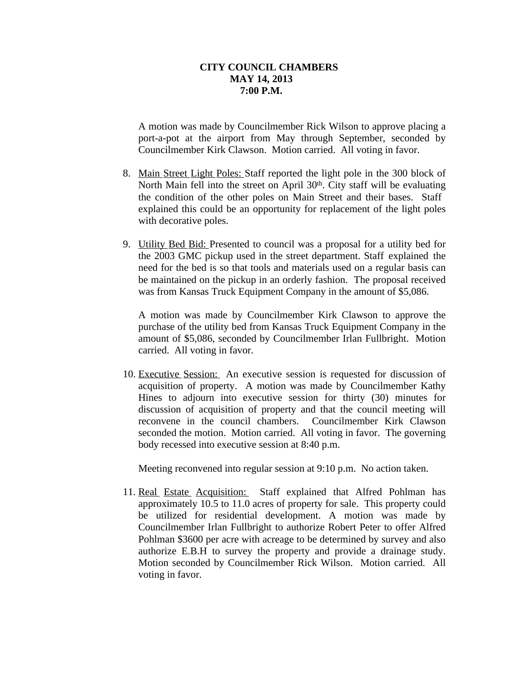A motion was made by Councilmember Rick Wilson to approve placing a port-a-pot at the airport from May through September, seconded by Councilmember Kirk Clawson. Motion carried. All voting in favor.

- 8. Main Street Light Poles: Staff reported the light pole in the 300 block of North Main fell into the street on April 30<sup>th</sup>. City staff will be evaluating the condition of the other poles on Main Street and their bases. Staff explained this could be an opportunity for replacement of the light poles with decorative poles.
- 9. Utility Bed Bid: Presented to council was a proposal for a utility bed for the 2003 GMC pickup used in the street department. Staff explained the need for the bed is so that tools and materials used on a regular basis can be maintained on the pickup in an orderly fashion. The proposal received was from Kansas Truck Equipment Company in the amount of \$5,086.

A motion was made by Councilmember Kirk Clawson to approve the purchase of the utility bed from Kansas Truck Equipment Company in the amount of \$5,086, seconded by Councilmember Irlan Fullbright. Motion carried. All voting in favor.

10. Executive Session: An executive session is requested for discussion of acquisition of property. A motion was made by Councilmember Kathy Hines to adjourn into executive session for thirty (30) minutes for discussion of acquisition of property and that the council meeting will reconvene in the council chambers. Councilmember Kirk Clawson seconded the motion. Motion carried. All voting in favor. The governing body recessed into executive session at 8:40 p.m.

Meeting reconvened into regular session at 9:10 p.m. No action taken.

11. Real Estate Acquisition: Staff explained that Alfred Pohlman has approximately 10.5 to 11.0 acres of property for sale. This property could be utilized for residential development. A motion was made by Councilmember Irlan Fullbright to authorize Robert Peter to offer Alfred Pohlman \$3600 per acre with acreage to be determined by survey and also authorize E.B.H to survey the property and provide a drainage study. Motion seconded by Councilmember Rick Wilson. Motion carried. All voting in favor.